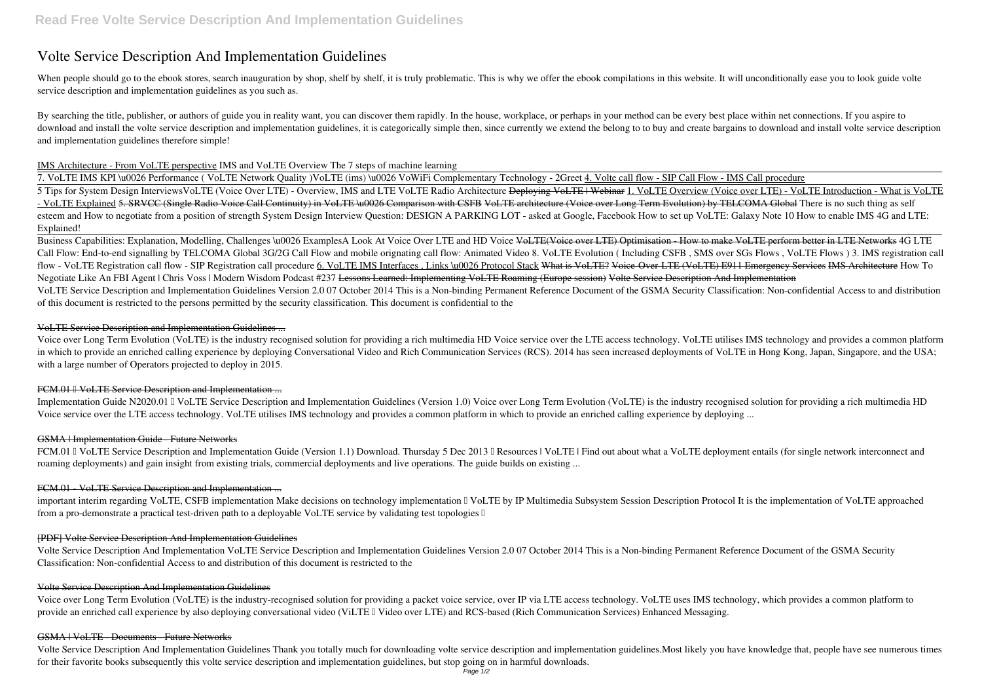# **Volte Service Description And Implementation Guidelines**

When people should go to the ebook stores, search inauguration by shop, shelf by shelf, it is truly problematic. This is why we offer the ebook compilations in this website. It will unconditionally ease you to look guide v **service description and implementation guidelines** as you such as.

By searching the title, publisher, or authors of guide you in reality want, you can discover them rapidly. In the house, workplace, or perhaps in your method can be every best place within net connections. If you aspire to download and install the volte service description and implementation guidelines, it is categorically simple then, since currently we extend the belong to to buy and create bargains to download and install volte service de and implementation guidelines therefore simple!

## IMS Architecture - From VoLTE perspective *IMS and VoLTE Overview The 7 steps of machine learning*

7. VoLTE IMS KPI \u0026 Performance ( VoLTE Network Quality )**VoLTE (ims) \u0026 VoWiFi Complementary Technology - 2Greet** 4. Volte call flow - SIP Call Flow - IMS Call procedure 5 Tips for System Design Interviews**VoLTE (Voice Over LTE) - Overview, IMS and LTE VoLTE Radio Architecture** Deploying VoLTE | Webinar 1. VoLTE Overview (Voice over LTE) - VoLTE Introduction - What is VoLTE - VoLTE Explained 5. SRVCC (Single Radio Voice Call Continuity) in VoLTE \u0026 Comparison with CSFB VoLTE architecture (Voice over Long Term Evolution) by TELCOMA Global There is no such thing as self esteem and How to negotiate from a position of strength System Design Interview Question: DESIGN A PARKING LOT - asked at Google, Facebook How to set up VoLTE: Galaxy Note 10 How to enable IMS 4G and LTE: Explained!

Business Capabilities: Explanation, Modelling, Challenges \u0026 ExamplesA Look At Voice Over LTE and HD Voice VoLTE(Voice over LTE) Optimisation - How to make VoLTE perform better in LTE Networks 4G LTE Call Flow: End-to-end signalling by TELCOMA Global 3G/2G Call Flow and mobile orignating call flow: Animated Video 8. VoLTE Evolution (Including CSFB, SMS over SGs Flows, VoLTE Flows) 3. IMS registration call flow - VoLTE Registration call flow - SIP Registration call procedure 6. VoLTE IMS Interfaces , Links \u0026 Protocol Stack What is VoLTE? Voice-Over-LTE (VoLTE) E911 Emergency Services IMS Architecture *How To Negotiate Like An FBI Agent | Chris Voss | Modern Wisdom Podcast #237* Lessons Learned: Implementing VoLTE Roaming (Europe session) Volte Service Description And Implementation VoLTE Service Description and Implementation Guidelines Version 2.0 07 October 2014 This is a Non-binding Permanent Reference Document of the GSMA Security Classification: Non-confidential Access to and distribution of this document is restricted to the persons permitted by the security classification. This document is confidential to the

Implementation Guide N2020.01 I VoLTE Service Description and Implementation Guidelines (Version 1.0) Voice over Long Term Evolution (VoLTE) is the industry recognised solution for providing a rich multimedia HD Voice service over the LTE access technology. VoLTE utilises IMS technology and provides a common platform in which to provide an enriched calling experience by deploying ...

FCM.01 I VoLTE Service Description and Implementation Guide (Version 1.1) Download. Thursday 5 Dec 2013 I Resources | VoLTE | Find out about what a VoLTE deployment entails (for single network interconnect and roaming deployments) and gain insight from existing trials, commercial deployments and live operations. The guide builds on existing ...

Voice over Long Term Evolution (VoLTE) is the industry-recognised solution for providing a packet voice service, over IP via LTE access technology. VoLTE uses IMS technology, which provides a common platform to provide an enriched call experience by also deploying conversational video (ViLTE I Video over LTE) and RCS-based (Rich Communication Services) Enhanced Messaging.

# VoLTE Service Description and Implementation Guidelines ...

Voice over Long Term Evolution (VoLTE) is the industry recognised solution for providing a rich multimedia HD Voice service over the LTE access technology. VoLTE utilises IMS technology and provides a common platform in which to provide an enriched calling experience by deploying Conversational Video and Rich Communication Services (RCS). 2014 has seen increased deployments of VoLTE in Hong Kong, Japan, Singapore, and the USA; with a large number of Operators projected to deploy in 2015.

# FCM.01 I VoLTE Service Description and Implementation ...

# GSMA | Implementation Guide - Future Networks

# FCM.01 - VoLTE Service Description and Implementation ...

important interim regarding VoLTE, CSFB implementation Make decisions on technology implementation  $\mathbb I$  VoLTE by IP Multimedia Subsystem Session Description Protocol It is the implementation of VoLTE approached from a pro-demonstrate a practical test-driven path to a deployable VoLTE service by validating test topologies  $\mathbb I$ 

## [PDF] Volte Service Description And Implementation Guidelines

Volte Service Description And Implementation VoLTE Service Description and Implementation Guidelines Version 2.0 07 October 2014 This is a Non-binding Permanent Reference Document of the GSMA Security Classification: Non-confidential Access to and distribution of this document is restricted to the

# Volte Service Description And Implementation Guidelines

#### GSMA | VoLTE - Documents - Future Networks

Volte Service Description And Implementation Guidelines Thank you totally much for downloading volte service description and implementation guidelines.Most likely you have knowledge that, people have see numerous times for their favorite books subsequently this volte service description and implementation guidelines, but stop going on in harmful downloads.